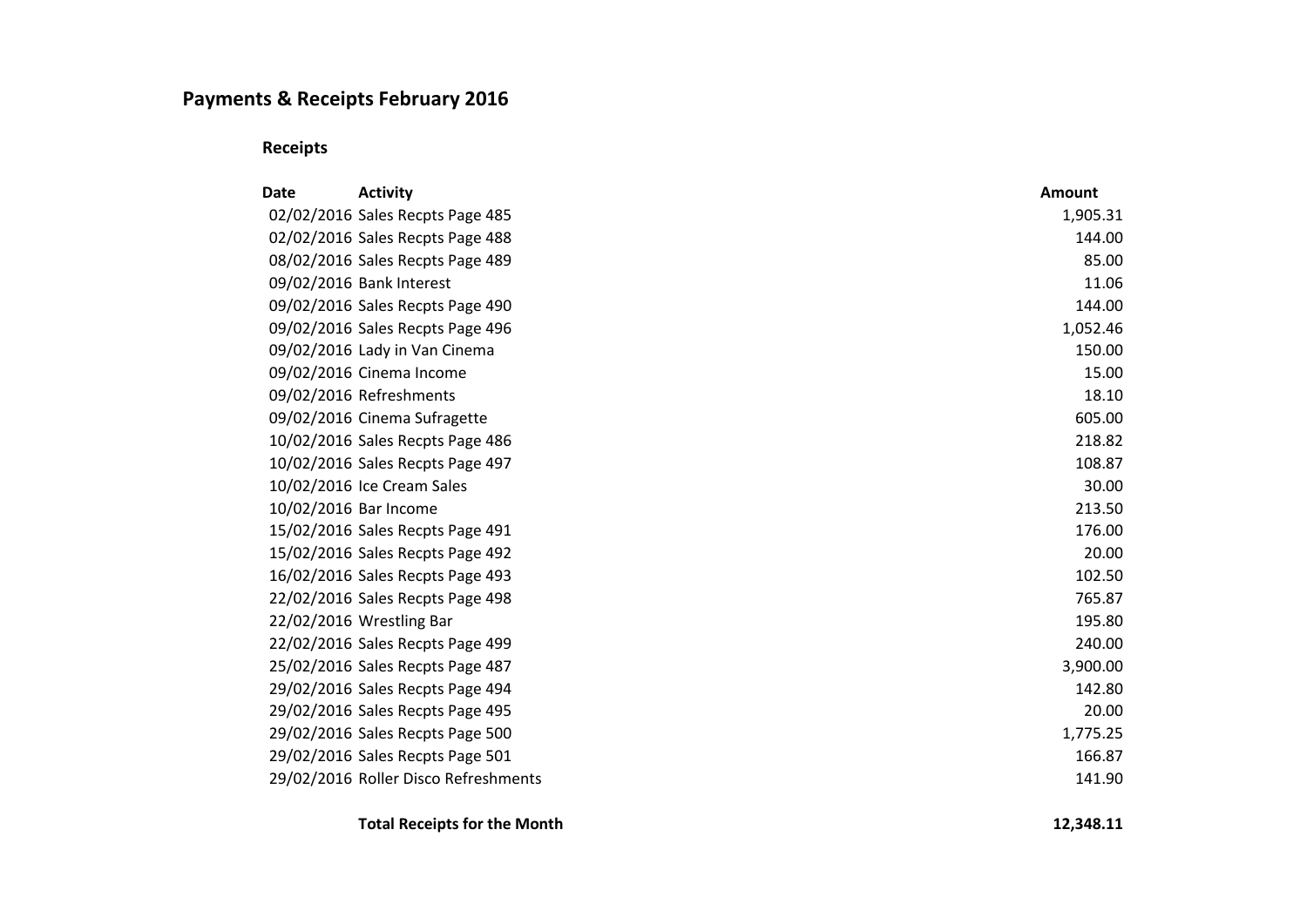## **Payments & Receipts February 2016**

**Receipts**

| Date | <b>Activity</b>                      | <b>Amount</b> |
|------|--------------------------------------|---------------|
|      | 02/02/2016 Sales Recpts Page 485     | 1,905.31      |
|      | 02/02/2016 Sales Recpts Page 488     | 144.00        |
|      | 08/02/2016 Sales Recpts Page 489     | 85.00         |
|      | 09/02/2016 Bank Interest             | 11.06         |
|      | 09/02/2016 Sales Recpts Page 490     | 144.00        |
|      | 09/02/2016 Sales Recpts Page 496     | 1,052.46      |
|      | 09/02/2016 Lady in Van Cinema        | 150.00        |
|      | 09/02/2016 Cinema Income             | 15.00         |
|      | 09/02/2016 Refreshments              | 18.10         |
|      | 09/02/2016 Cinema Sufragette         | 605.00        |
|      | 10/02/2016 Sales Recpts Page 486     | 218.82        |
|      | 10/02/2016 Sales Recpts Page 497     | 108.87        |
|      | 10/02/2016 Ice Cream Sales           | 30.00         |
|      | 10/02/2016 Bar Income                | 213.50        |
|      | 15/02/2016 Sales Recpts Page 491     | 176.00        |
|      | 15/02/2016 Sales Recpts Page 492     | 20.00         |
|      | 16/02/2016 Sales Recpts Page 493     | 102.50        |
|      | 22/02/2016 Sales Recpts Page 498     | 765.87        |
|      | 22/02/2016 Wrestling Bar             | 195.80        |
|      | 22/02/2016 Sales Recpts Page 499     | 240.00        |
|      | 25/02/2016 Sales Recpts Page 487     | 3,900.00      |
|      | 29/02/2016 Sales Recpts Page 494     | 142.80        |
|      | 29/02/2016 Sales Recpts Page 495     | 20.00         |
|      | 29/02/2016 Sales Recpts Page 500     | 1,775.25      |
|      | 29/02/2016 Sales Recpts Page 501     | 166.87        |
|      | 29/02/2016 Roller Disco Refreshments | 141.90        |

**Total Receipts for the Month 12,348.11**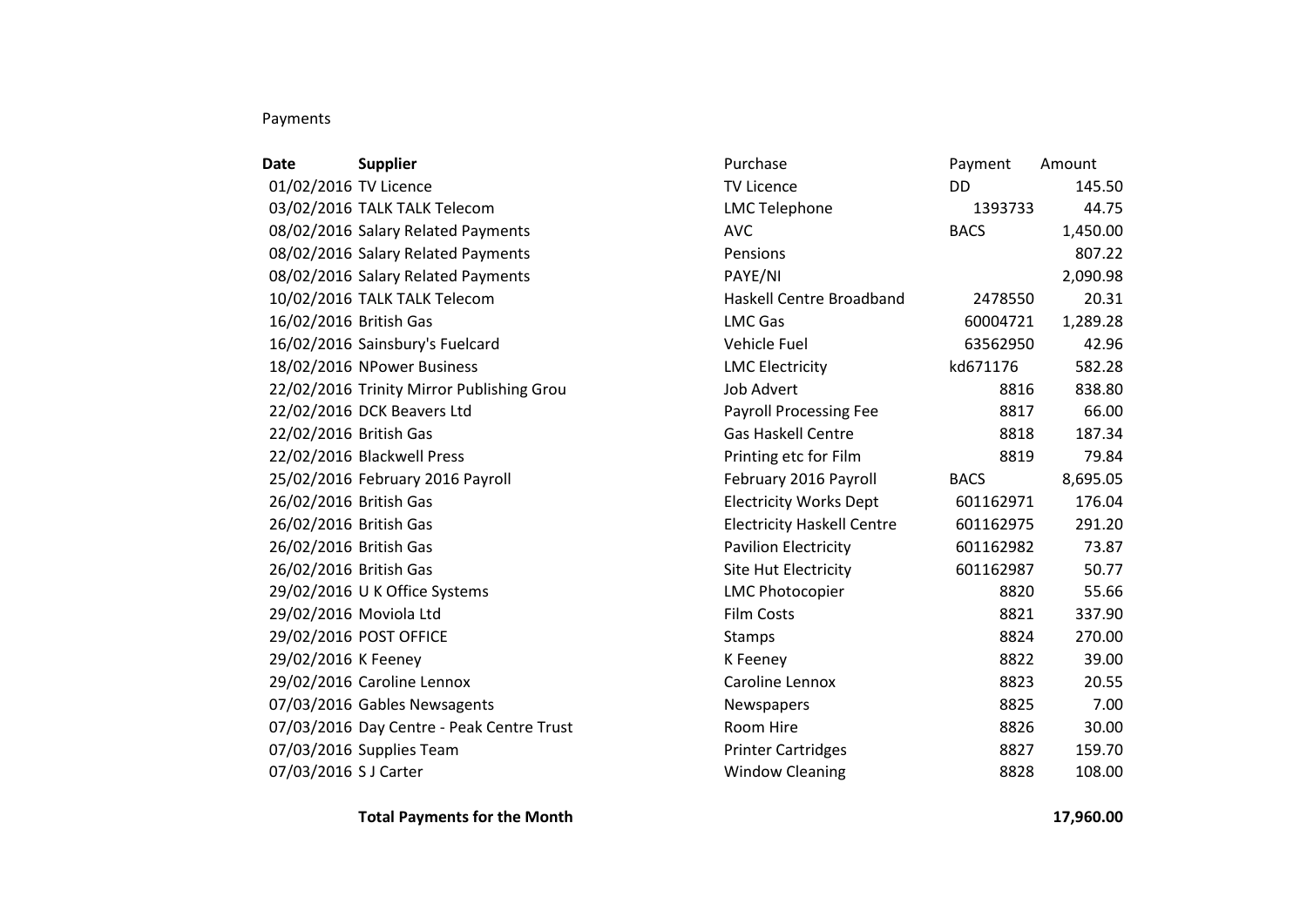## Payments

| Date                   | <b>Supplier</b>                           | Purchase                          | Payment     | Amount   |
|------------------------|-------------------------------------------|-----------------------------------|-------------|----------|
| 01/02/2016 TV Licence  |                                           | <b>TV Licence</b>                 | DD.         | 145.50   |
|                        | 03/02/2016 TALK TALK Telecom              | <b>LMC Telephone</b>              | 1393733     | 44.75    |
|                        | 08/02/2016 Salary Related Payments        | <b>AVC</b>                        | <b>BACS</b> | 1,450.00 |
|                        | 08/02/2016 Salary Related Payments        | Pensions                          |             | 807.22   |
|                        | 08/02/2016 Salary Related Payments        | PAYE/NI                           |             | 2,090.98 |
|                        | 10/02/2016 TALK TALK Telecom              | <b>Haskell Centre Broadband</b>   | 2478550     | 20.31    |
| 16/02/2016 British Gas |                                           | <b>LMC Gas</b>                    | 60004721    | 1,289.28 |
|                        | 16/02/2016 Sainsbury's Fuelcard           | Vehicle Fuel                      | 63562950    | 42.96    |
|                        | 18/02/2016 NPower Business                | <b>LMC Electricity</b>            | kd671176    | 582.28   |
|                        | 22/02/2016 Trinity Mirror Publishing Grou | <b>Job Advert</b>                 | 8816        | 838.80   |
|                        | 22/02/2016 DCK Beavers Ltd                | <b>Payroll Processing Fee</b>     | 8817        | 66.00    |
| 22/02/2016 British Gas |                                           | <b>Gas Haskell Centre</b>         | 8818        | 187.34   |
|                        | 22/02/2016 Blackwell Press                | Printing etc for Film             | 8819        | 79.84    |
|                        | 25/02/2016 February 2016 Payroll          | February 2016 Payroll             | <b>BACS</b> | 8,695.05 |
| 26/02/2016 British Gas |                                           | <b>Electricity Works Dept</b>     | 601162971   | 176.04   |
| 26/02/2016 British Gas |                                           | <b>Electricity Haskell Centre</b> | 601162975   | 291.20   |
| 26/02/2016 British Gas |                                           | <b>Pavilion Electricity</b>       | 601162982   | 73.87    |
| 26/02/2016 British Gas |                                           | <b>Site Hut Electricity</b>       | 601162987   | 50.77    |
|                        | 29/02/2016 U K Office Systems             | <b>LMC Photocopier</b>            | 8820        | 55.66    |
| 29/02/2016 Moviola Ltd |                                           | <b>Film Costs</b>                 | 8821        | 337.90   |
|                        | 29/02/2016 POST OFFICE                    | Stamps                            | 8824        | 270.00   |
| 29/02/2016 K Feeney    |                                           | K Feeney                          | 8822        | 39.00    |
|                        | 29/02/2016 Caroline Lennox                | Caroline Lennox                   | 8823        | 20.55    |
|                        | 07/03/2016 Gables Newsagents              | Newspapers                        | 8825        | 7.00     |
|                        | 07/03/2016 Day Centre - Peak Centre Trust | Room Hire                         | 8826        | 30.00    |
|                        | 07/03/2016 Supplies Team                  | <b>Printer Cartridges</b>         | 8827        | 159.70   |
| 07/03/2016 S J Carter  |                                           | <b>Window Cleaning</b>            | 8828        | 108.00   |

**Total Payments for the Month 17,960.00**